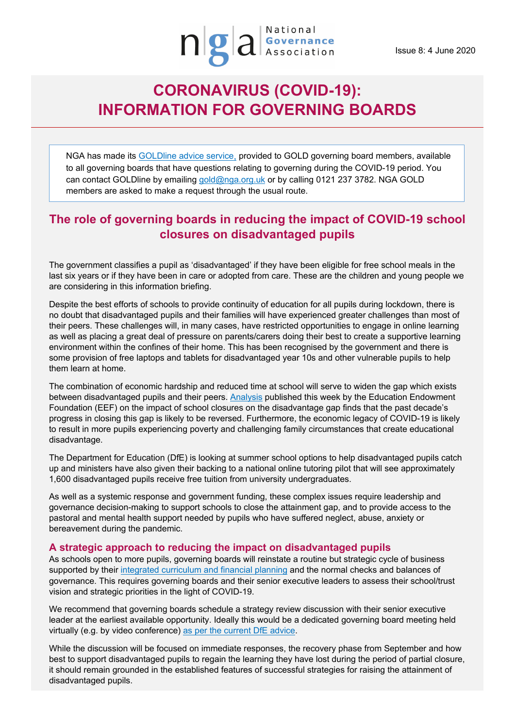# **CORONAVIRUS (COVID-19): INFORMATION FOR GOVERNING BOARDS**

NGA has made its [GOLDline advice service,](http://www.nga.org.uk/Membership/GOLDline-The-NGA-Advice-service.aspx) provided to GOLD governing board members, available to all governing boards that have questions relating to governing during the COVID-19 period. You can contact GOLDline by emailing [gold@nga.org.uk](mailto:gold@nga.org.uk) or by calling 0121 237 3782. NGA GOLD members are asked to make a request through the usual route.

# **The role of governing boards in reducing the impact of COVID-19 school closures on disadvantaged pupils**

The government classifies a pupil as 'disadvantaged' if they have been eligible for free school meals in the last six years or if they have been in care or adopted from care. These are the children and young people we are considering in this information briefing.

Despite the best efforts of schools to provide continuity of education for all pupils during lockdown, there is no doubt that disadvantaged pupils and their families will have experienced greater challenges than most of their peers. These challenges will, in many cases, have restricted opportunities to engage in online learning as well as placing a great deal of pressure on parents/carers doing their best to create a supportive learning environment within the confines of their home. This has been recognised by the government and there is some provision of free laptops and tablets for disadvantaged year 10s and other vulnerable pupils to help them learn at home.

The combination of economic hardship and reduced time at school will serve to widen the gap which exists between disadvantaged pupils and their peers. [Analysis](https://educationendowmentfoundation.org.uk/covid-19-resources/best-evidence-on-impact-of-school-closures-on-the-attainment-gap/?mc_cid=8e315f749b&mc_eid=37086a08a8) published this week by the Education Endowment Foundation (EEF) on the impact of school closures on the disadvantage gap finds that the past decade's progress in closing this gap is likely to be reversed. Furthermore, the economic legacy of COVID-19 is likely to result in more pupils experiencing poverty and challenging family circumstances that create educational disadvantage.

The Department for Education (DfE) is looking at summer school options to help disadvantaged pupils catch up and ministers have also given their backing to a national online tutoring pilot that will see approximately 1,600 disadvantaged pupils receive free tuition from university undergraduates.

As well as a systemic response and government funding, these complex issues require leadership and governance decision-making to support schools to close the attainment gap, and to provide access to the pastoral and mental health support needed by pupils who have suffered neglect, abuse, anxiety or bereavement during the pandemic.

## **A strategic approach to reducing the impact on disadvantaged pupils**

As schools open to more pupils, governing boards will reinstate a routine but strategic cycle of business supported by their [integrated curriculum and financial planning](https://www.gov.uk/guidance/integrated-curriculum-and-financial-planning-icfp) and the normal checks and balances of governance. This requires governing boards and their senior executive leaders to assess their school/trust vision and strategic priorities in the light of COVID-19.

We recommend that governing boards schedule a strategy review discussion with their senior executive leader at the earliest available opportunity. Ideally this would be a dedicated governing board meeting held virtually (e.g. by video conference) [as per the current DfE advice.](https://www.gov.uk/government/publications/school-governance-update/school-governance-update-march-2020)

While the discussion will be focused on immediate responses, the recovery phase from September and how best to support disadvantaged pupils to regain the learning they have lost during the period of partial closure, it should remain grounded in the established features of successful strategies for raising the attainment of disadvantaged pupils.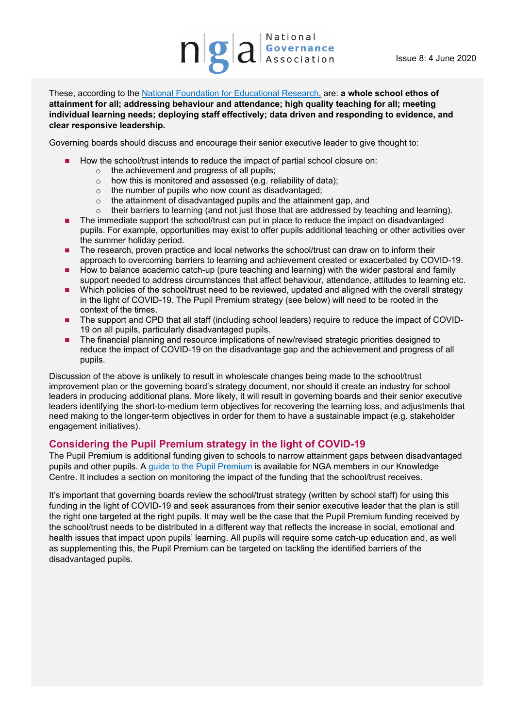These, according to the [National Foundation for Educational Research,](https://www.nfer.ac.uk/) are: **a whole school ethos of attainment for all; addressing behaviour and attendance; high quality teaching for all; meeting individual learning needs; deploying staff effectively; data driven and responding to evidence, and clear responsive leadership.**

Governing boards should discuss and encourage their senior executive leader to give thought to:

- How the school/trust intends to reduce the impact of partial school closure on:
	- o the achievement and progress of all pupils;
	- o how this is monitored and assessed (e.g. reliability of data);
	- o the number of pupils who now count as disadvantaged;
	- o the attainment of disadvantaged pupils and the attainment gap, and
	- o their barriers to learning (and not just those that are addressed by teaching and learning).
- The immediate support the school/trust can put in place to reduce the impact on disadvantaged pupils. For example, opportunities may exist to offer pupils additional teaching or other activities over the summer holiday period.
- The research, proven practice and local networks the school/trust can draw on to inform their approach to overcoming barriers to learning and achievement created or exacerbated by COVID-19.
- **How to balance academic catch-up (pure teaching and learning) with the wider pastoral and family** support needed to address circumstances that affect behaviour, attendance, attitudes to learning etc.
- Which policies of the school/trust need to be reviewed, updated and aligned with the overall strategy in the light of COVID-19. The Pupil Premium strategy (see below) will need to be rooted in the context of the times.
- The support and CPD that all staff (including school leaders) require to reduce the impact of COVID-19 on all pupils, particularly disadvantaged pupils.
- The financial planning and resource implications of new/revised strategic priorities designed to reduce the impact of COVID-19 on the disadvantage gap and the achievement and progress of all pupils.

 Discussion of the above is unlikely to result in wholescale changes being made to the school/trust improvement plan or the governing board's strategy document, nor should it create an industry for school leaders in producing additional plans. More likely, it will result in governing boards and their senior executive leaders identifying the short-to-medium term objectives for recovering the learning loss, and adjustments that need making to the longer-term objectives in order for them to have a sustainable impact (e.g. stakeholder engagement initiatives).

#### **Considering the Pupil Premium strategy in the light of COVID-19**

The Pupil Premium is additional funding given to schools to narrow attainment gaps between disadvantaged pupils and other pupils. A [guide to the Pupil Premium](https://www.nga.org.uk/getmedia/8726ceb4-ce9d-4d19-8a99-dfe604271f61/Pupil-Premium-guide-FINAL.pdf) is available for NGA members in our Knowledge Centre. It includes a section on monitoring the impact of the funding that the school/trust receives.

It's important that governing boards review the school/trust strategy (written by school staff) for using this funding in the light of COVID-19 and seek assurances from their senior executive leader that the plan is still the right one targeted at the right pupils. It may well be the case that the Pupil Premium funding received by the school/trust needs to be distributed in a different way that reflects the increase in social, emotional and health issues that impact upon pupils' learning. All pupils will require some catch-up education and, as well as supplementing this, the Pupil Premium can be targeted on tackling the identified barriers of the disadvantaged pupils.